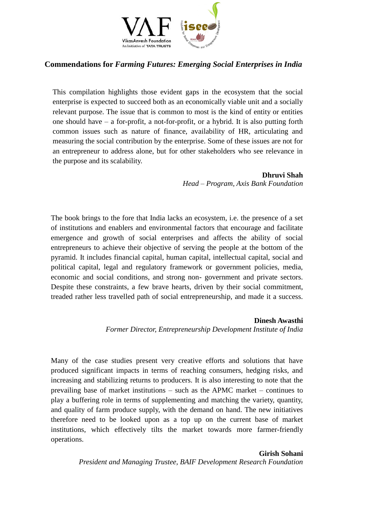

# **Commendations for** *Farming Futures: Emerging Social Enterprises in India*

This compilation highlights those evident gaps in the ecosystem that the social enterprise is expected to succeed both as an economically viable unit and a socially relevant purpose. The issue that is common to most is the kind of entity or entities one should have – a for-profit, a not-for-profit, or a hybrid. It is also putting forth common issues such as nature of finance, availability of HR, articulating and measuring the social contribution by the enterprise. Some of these issues are not for an entrepreneur to address alone, but for other stakeholders who see relevance in the purpose and its scalability.

### **Dhruvi Shah**

*Head – Program, Axis Bank Foundation* 

The book brings to the fore that India lacks an ecosystem, i.e. the presence of a set of institutions and enablers and environmental factors that encourage and facilitate emergence and growth of social enterprises and affects the ability of social entrepreneurs to achieve their objective of serving the people at the bottom of the pyramid. It includes financial capital, human capital, intellectual capital, social and political capital, legal and regulatory framework or government policies, media, economic and social conditions, and strong non- government and private sectors. Despite these constraints, a few brave hearts, driven by their social commitment, treaded rather less travelled path of social entrepreneurship, and made it a success.

### **Dinesh Awasthi**

*Former Director, Entrepreneurship Development Institute of India* 

Many of the case studies present very creative efforts and solutions that have produced significant impacts in terms of reaching consumers, hedging risks, and increasing and stabilizing returns to producers. It is also interesting to note that the prevailing base of market institutions – such as the APMC market – continues to play a buffering role in terms of supplementing and matching the variety, quantity, and quality of farm produce supply, with the demand on hand. The new initiatives therefore need to be looked upon as a top up on the current base of market institutions, which effectively tilts the market towards more farmer-friendly operations.

# **Girish Sohani**

*President and Managing Trustee, BAIF Development Research Foundation*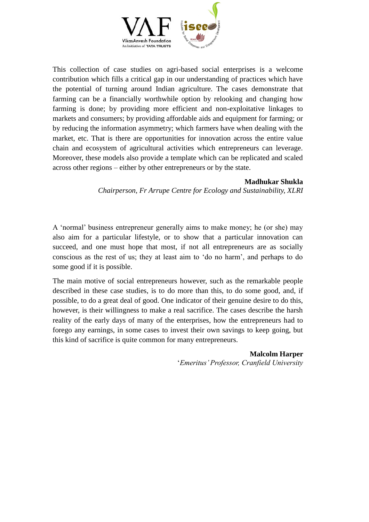

This collection of case studies on agri-based social enterprises is a welcome contribution which fills a critical gap in our understanding of practices which have the potential of turning around Indian agriculture. The cases demonstrate that farming can be a financially worthwhile option by relooking and changing how farming is done; by providing more efficient and non-exploitative linkages to markets and consumers; by providing affordable aids and equipment for farming; or by reducing the information asymmetry; which farmers have when dealing with the market, etc. That is there are opportunities for innovation across the entire value chain and ecosystem of agricultural activities which entrepreneurs can leverage. Moreover, these models also provide a template which can be replicated and scaled across other regions – either by other entrepreneurs or by the state.

### **Madhukar Shukla**

*Chairperson, Fr Arrupe Centre for Ecology and Sustainability, XLRI* 

A 'normal' business entrepreneur generally aims to make money; he (or she) may also aim for a particular lifestyle, or to show that a particular innovation can succeed, and one must hope that most, if not all entrepreneurs are as socially conscious as the rest of us; they at least aim to 'do no harm', and perhaps to do some good if it is possible.

The main motive of social entrepreneurs however, such as the remarkable people described in these case studies, is to do more than this, to do some good, and, if possible, to do a great deal of good. One indicator of their genuine desire to do this, however, is their willingness to make a real sacrifice. The cases describe the harsh reality of the early days of many of the enterprises, how the entrepreneurs had to forego any earnings, in some cases to invest their own savings to keep going, but this kind of sacrifice is quite common for many entrepreneurs.

> **Malcolm Harper**  '*Emeritus' Professor, Cranfield University*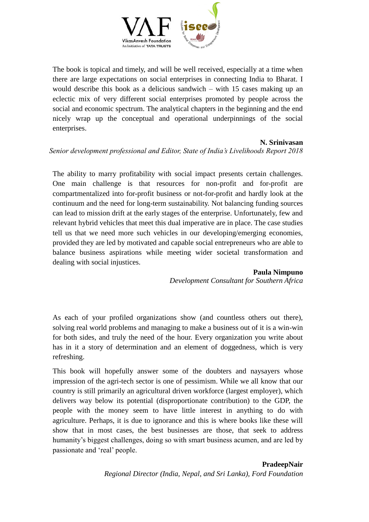

The book is topical and timely, and will be well received, especially at a time when there are large expectations on social enterprises in connecting India to Bharat. I would describe this book as a delicious sandwich – with 15 cases making up an eclectic mix of very different social enterprises promoted by people across the social and economic spectrum. The analytical chapters in the beginning and the end nicely wrap up the conceptual and operational underpinnings of the social enterprises.

### **N. Srinivasan**

# *Senior development professional and Editor, State of India's Livelihoods Report 2018*

The ability to marry profitability with social impact presents certain challenges. One main challenge is that resources for non-profit and for-profit are compartmentalized into for-profit business or not-for-profit and hardly look at the continuum and the need for long-term sustainability. Not balancing funding sources can lead to mission drift at the early stages of the enterprise. Unfortunately, few and relevant hybrid vehicles that meet this dual imperative are in place. The case studies tell us that we need more such vehicles in our developing/emerging economies, provided they are led by motivated and capable social entrepreneurs who are able to balance business aspirations while meeting wider societal transformation and dealing with social injustices.

### **Paula Nimpuno**

*Development Consultant for Southern Africa*

As each of your profiled organizations show (and countless others out there), solving real world problems and managing to make a business out of it is a win-win for both sides, and truly the need of the hour. Every organization you write about has in it a story of determination and an element of doggedness, which is very refreshing.

This book will hopefully answer some of the doubters and naysayers whose impression of the agri-tech sector is one of pessimism. While we all know that our country is still primarily an agricultural driven workforce (largest employer), which delivers way below its potential (disproportionate contribution) to the GDP, the people with the money seem to have little interest in anything to do with agriculture. Perhaps, it is due to ignorance and this is where books like these will show that in most cases, the best businesses are those, that seek to address humanity's biggest challenges, doing so with smart business acumen, and are led by passionate and 'real' people.

# **PradeepNair**

*Regional Director (India, Nepal, and Sri Lanka), Ford Foundation*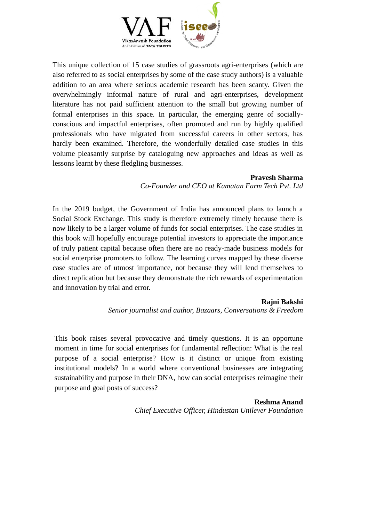

This unique collection of 15 case studies of grassroots agri-enterprises (which are also referred to as social enterprises by some of the case study authors) is a valuable addition to an area where serious academic research has been scanty. Given the overwhelmingly informal nature of rural and agri-enterprises, development literature has not paid sufficient attention to the small but growing number of formal enterprises in this space. In particular, the emerging genre of sociallyconscious and impactful enterprises, often promoted and run by highly qualified professionals who have migrated from successful careers in other sectors, has hardly been examined. Therefore, the wonderfully detailed case studies in this volume pleasantly surprise by cataloguing new approaches and ideas as well as lessons learnt by these fledgling businesses.

# **Pravesh Sharma**

*Co-Founder and CEO at Kamatan Farm Tech Pvt. Ltd* 

In the 2019 budget, the Government of India has announced plans to launch a Social Stock Exchange. This study is therefore extremely timely because there is now likely to be a larger volume of funds for social enterprises. The case studies in this book will hopefully encourage potential investors to appreciate the importance of truly patient capital because often there are no ready-made business models for social enterprise promoters to follow. The learning curves mapped by these diverse case studies are of utmost importance, not because they will lend themselves to direct replication but because they demonstrate the rich rewards of experimentation and innovation by trial and error.

# **Rajni Bakshi**

*Senior journalist and author, Bazaars, Conversations & Freedom* 

This book raises several provocative and timely questions. It is an opportune moment in time for social enterprises for fundamental reflection: What is the real purpose of a social enterprise? How is it distinct or unique from existing institutional models? In a world where conventional businesses are integrating sustainability and purpose in their DNA, how can social enterprises reimagine their purpose and goal posts of success?

### **Reshma Anand**

*Chief Executive Officer, Hindustan Unilever Foundation*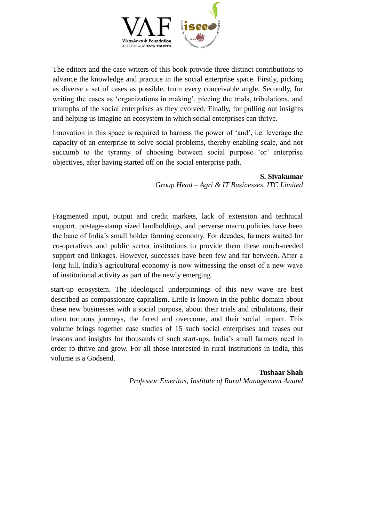

The editors and the case writers of this book provide three distinct contributions to advance the knowledge and practice in the social enterprise space. Firstly, picking as diverse a set of cases as possible, from every conceivable angle. Secondly, for writing the cases as 'organizations in making', piecing the trials, tribulations, and triumphs of the social enterprises as they evolved. Finally, for pulling out insights and helping us imagine an ecosystem in which social enterprises can thrive.

Innovation in this space is required to harness the power of 'and', i.e. leverage the capacity of an enterprise to solve social problems, thereby enabling scale, and not succumb to the tyranny of choosing between social purpose 'or' enterprise objectives, after having started off on the social enterprise path.

> **S. Sivakumar** *Group Head – Agri & IT Businesses, ITC Limited*

Fragmented input, output and credit markets, lack of extension and technical support, postage-stamp sized landholdings, and perverse macro policies have been the bane of India's small holder farming economy. For decades, farmers waited for co-operatives and public sector institutions to provide them these much-needed support and linkages. However, successes have been few and far between. After a long lull, India's agricultural economy is now witnessing the onset of a new wave of institutional activity as part of the newly emerging

start-up ecosystem. The ideological underpinnings of this new wave are best described as compassionate capitalism. Little is known in the public domain about these new businesses with a social purpose, about their trials and tribulations, their often tortuous journeys, the faced and overcome, and their social impact. This volume brings together case studies of 15 such social enterprises and teases out lessons and insights for thousands of such start-ups. India's small farmers need in order to thrive and grow. For all those interested in rural institutions in India, this volume is a Godsend.

> **Tushaar Shah**  *Professor Emeritus, Institute of Rural Management Anand*